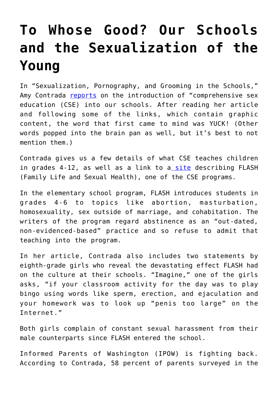## **[To Whose Good? Our Schools](https://intellectualtakeout.org/2020/02/to-whose-good-our-schools-and-the-sexualization-of-the-young/) [and the Sexualization of the](https://intellectualtakeout.org/2020/02/to-whose-good-our-schools-and-the-sexualization-of-the-young/) [Young](https://intellectualtakeout.org/2020/02/to-whose-good-our-schools-and-the-sexualization-of-the-young/)**

In "Sexualization, Pornography, and Grooming in the Schools," Amy Contrada [reports](https://www.americanthinker.com/articles/2020/02/sexualization_pornography_and_grooming_in_the_schools.html) on the introduction of "comprehensive sex education (CSE) into our schools. After reading her article and following some of the links, which contain graphic content, the word that first came to mind was YUCK! (Other words popped into the brain pan as well, but it's best to not mention them.)

Contrada gives us a few details of what CSE teaches children in grades 4-12, as well as a link to a [site](https://www.comprehensivesexualityeducation.org/cse-materials-index/flash/) describing FLASH (Family Life and Sexual Health), one of the CSE programs.

In the elementary school program, FLASH introduces students in grades 4-6 to topics like abortion, masturbation, homosexuality, sex outside of marriage, and cohabitation. The writers of the program regard abstinence as an "out-dated, non-evidenced-based" practice and so refuse to admit that teaching into the program.

In her article, Contrada also includes two statements by eighth-grade girls who reveal the devastating effect FLASH had on the culture at their schools. "Imagine," one of the girls asks, "if your classroom activity for the day was to play bingo using words like sperm, erection, and ejaculation and your homework was to look up "penis too large" on the Internet."

Both girls complain of constant sexual harassment from their male counterparts since FLASH entered the school.

Informed Parents of Washington (IPOW) is fighting back. According to Contrada, 58 percent of parents surveyed in the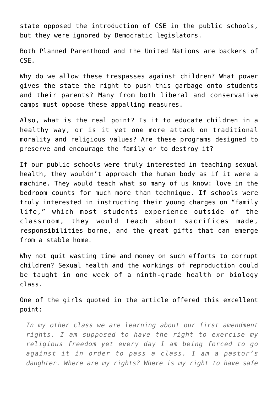state opposed the introduction of CSE in the public schools, but they were ignored by Democratic legislators.

Both Planned Parenthood and the United Nations are backers of CSE.

Why do we allow these trespasses against children? What power gives the state the right to push this garbage onto students and their parents? Many from both liberal and conservative camps must oppose these appalling measures.

Also, what is the real point? Is it to educate children in a healthy way, or is it yet one more attack on traditional morality and religious values? Are these programs designed to preserve and encourage the family or to destroy it?

If our public schools were truly interested in teaching sexual health, they wouldn't approach the human body as if it were a machine. They would teach what so many of us know: love in the bedroom counts for much more than technique. If schools were truly interested in instructing their young charges on "family life," which most students experience outside of the classroom, they would teach about sacrifices made, responsibilities borne, and the great gifts that can emerge from a stable home.

Why not quit wasting time and money on such efforts to corrupt children? Sexual health and the workings of reproduction could be taught in one week of a ninth-grade health or biology class.

One of the girls quoted in the article offered this excellent point:

*In my other class we are learning about our first amendment rights. I am supposed to have the right to exercise my religious freedom yet every day I am being forced to go against it in order to pass a class. I am a pastor's daughter. Where are my rights? Where is my right to have safe*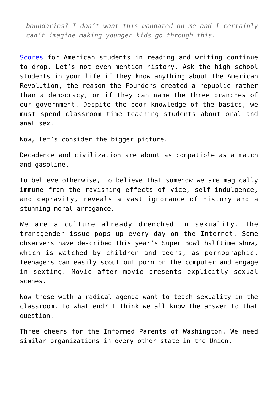*boundaries? I don't want this mandated on me and I certainly can't imagine making younger kids go through this.*

[Scores](https://www.usnews.com/news/education-news/articles/2019-10-30/across-the-board-scores-drop-in-math-and-reading-for-us-students) for American students in reading and writing continue to drop. Let's not even mention history. Ask the high school students in your life if they know anything about the American Revolution, the reason the Founders created a republic rather than a democracy, or if they can name the three branches of our government. Despite the poor knowledge of the basics, we must spend classroom time teaching students about oral and anal sex.

Now, let's consider the bigger picture.

—

Decadence and civilization are about as compatible as a match and gasoline.

To believe otherwise, to believe that somehow we are magically immune from the ravishing effects of vice, self-indulgence, and depravity, reveals a vast ignorance of history and a stunning moral arrogance.

We are a culture already drenched in sexuality. The transgender issue pops up every day on the Internet. Some observers have described this year's Super Bowl halftime show, which is watched by children and teens, as pornographic. Teenagers can easily scout out porn on the computer and engage in sexting. Movie after movie presents explicitly sexual scenes.

Now those with a radical agenda want to teach sexuality in the classroom. To what end? I think we all know the answer to that question.

Three cheers for the Informed Parents of Washington. We need similar organizations in every other state in the Union.